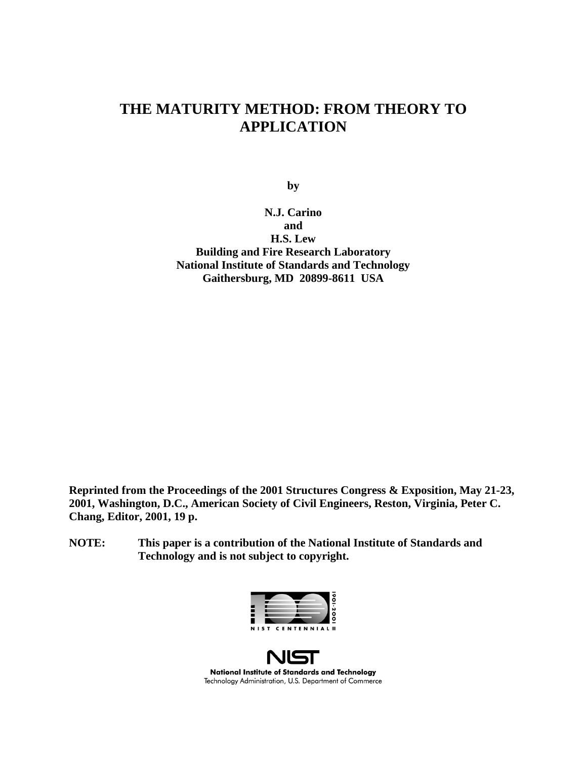# **THE MATURITY METHOD: FROM THEORY TO APPLICATION**

**by**

**N.J. Carino and H.S. Lew Building and Fire Research Laboratory National Institute of Standards and Technology Gaithersburg, MD 20899-8611 USA**

**Reprinted from the Proceedings of the 2001 Structures Congress & Exposition, May 21-23, 2001, Washington, D.C., American Society of Civil Engineers, Reston, Virginia, Peter C. Chang, Editor, 2001, 19 p.**

**NOTE: This paper is a contribution of the National Institute of Standards and Technology and is not subject to copyright.**

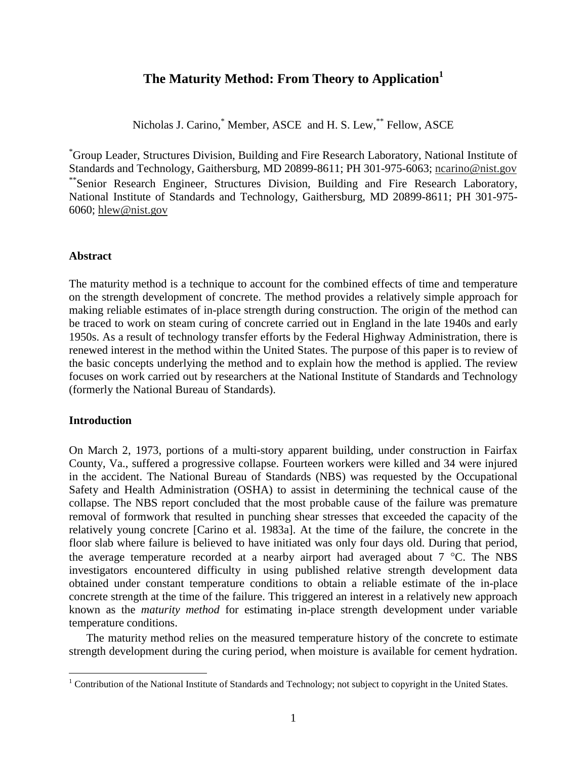## The Maturity Method: From Theory to Application<sup>1</sup>

Nicholas J. Carino,\* Member, ASCE and H. S. Lew,\*\* Fellow, ASCE

\* Group Leader, Structures Division, Building and Fire Research Laboratory, National Institute of Standards and Technology, Gaithersburg, MD 20899-8611; PH 301-975-6063; ncarino@nist.gov \*\*Senior Research Engineer, Structures Division, Building and Fire Research Laboratory, National Institute of Standards and Technology, Gaithersburg, MD 20899-8611; PH 301-975- 6060; hlew@nist.gov

## **Abstract**

The maturity method is a technique to account for the combined effects of time and temperature on the strength development of concrete. The method provides a relatively simple approach for making reliable estimates of in-place strength during construction. The origin of the method can be traced to work on steam curing of concrete carried out in England in the late 1940s and early 1950s. As a result of technology transfer efforts by the Federal Highway Administration, there is renewed interest in the method within the United States. The purpose of this paper is to review of the basic concepts underlying the method and to explain how the method is applied. The review focuses on work carried out by researchers at the National Institute of Standards and Technology (formerly the National Bureau of Standards).

#### **Introduction**

On March 2, 1973, portions of a multi-story apparent building, under construction in Fairfax County, Va., suffered a progressive collapse. Fourteen workers were killed and 34 were injured in the accident. The National Bureau of Standards (NBS) was requested by the Occupational Safety and Health Administration (OSHA) to assist in determining the technical cause of the collapse. The NBS report concluded that the most probable cause of the failure was premature removal of formwork that resulted in punching shear stresses that exceeded the capacity of the relatively young concrete [Carino et al. 1983a]. At the time of the failure, the concrete in the floor slab where failure is believed to have initiated was only four days old. During that period, the average temperature recorded at a nearby airport had averaged about 7 °C. The NBS investigators encountered difficulty in using published relative strength development data obtained under constant temperature conditions to obtain a reliable estimate of the in-place concrete strength at the time of the failure. This triggered an interest in a relatively new approach known as the *maturity method* for estimating in-place strength development under variable temperature conditions.

The maturity method relies on the measured temperature history of the concrete to estimate strength development during the curing period, when moisture is available for cement hydration.

<sup>&</sup>lt;sup>1</sup> Contribution of the National Institute of Standards and Technology; not subject to copyright in the United States.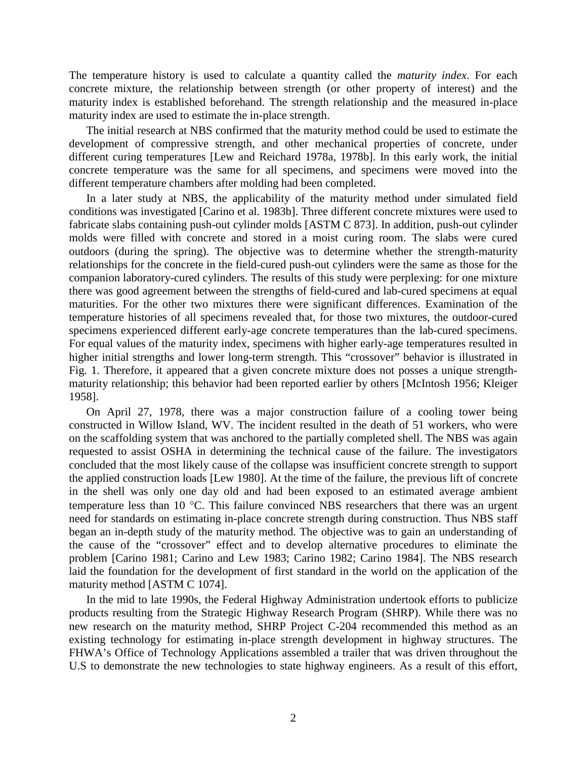The temperature history is used to calculate a quantity called the *maturity index*. For each concrete mixture, the relationship between strength (or other property of interest) and the maturity index is established beforehand. The strength relationship and the measured in-place maturity index are used to estimate the in-place strength.

The initial research at NBS confirmed that the maturity method could be used to estimate the development of compressive strength, and other mechanical properties of concrete, under different curing temperatures [Lew and Reichard 1978a, 1978b]. In this early work, the initial concrete temperature was the same for all specimens, and specimens were moved into the different temperature chambers after molding had been completed.

In a later study at NBS, the applicability of the maturity method under simulated field conditions was investigated [Carino et al. 1983b]. Three different concrete mixtures were used to fabricate slabs containing push-out cylinder molds [ASTM C 873]. In addition, push-out cylinder molds were filled with concrete and stored in a moist curing room. The slabs were cured outdoors (during the spring). The objective was to determine whether the strength-maturity relationships for the concrete in the field-cured push-out cylinders were the same as those for the companion laboratory-cured cylinders. The results of this study were perplexing: for one mixture there was good agreement between the strengths of field-cured and lab-cured specimens at equal maturities. For the other two mixtures there were significant differences. Examination of the temperature histories of all specimens revealed that, for those two mixtures, the outdoor-cured specimens experienced different early-age concrete temperatures than the lab-cured specimens. For equal values of the maturity index, specimens with higher early-age temperatures resulted in higher initial strengths and lower long-term strength. This "crossover" behavior is illustrated in Fig. 1. Therefore, it appeared that a given concrete mixture does not posses a unique strengthmaturity relationship; this behavior had been reported earlier by others [McIntosh 1956; Kleiger 1958].

On April 27, 1978, there was a major construction failure of a cooling tower being constructed in Willow Island, WV. The incident resulted in the death of 51 workers, who were on the scaffolding system that was anchored to the partially completed shell. The NBS was again requested to assist OSHA in determining the technical cause of the failure. The investigators concluded that the most likely cause of the collapse was insufficient concrete strength to support the applied construction loads [Lew 1980]. At the time of the failure, the previous lift of concrete in the shell was only one day old and had been exposed to an estimated average ambient temperature less than 10 °C. This failure convinced NBS researchers that there was an urgent need for standards on estimating in-place concrete strength during construction. Thus NBS staff began an in-depth study of the maturity method. The objective was to gain an understanding of the cause of the "crossover" effect and to develop alternative procedures to eliminate the problem [Carino 1981; Carino and Lew 1983; Carino 1982; Carino 1984]. The NBS research laid the foundation for the development of first standard in the world on the application of the maturity method [ASTM C 1074].

In the mid to late 1990s, the Federal Highway Administration undertook efforts to publicize products resulting from the Strategic Highway Research Program (SHRP). While there was no new research on the maturity method, SHRP Project C-204 recommended this method as an existing technology for estimating in-place strength development in highway structures. The FHWA's Office of Technology Applications assembled a trailer that was driven throughout the U.S to demonstrate the new technologies to state highway engineers. As a result of this effort,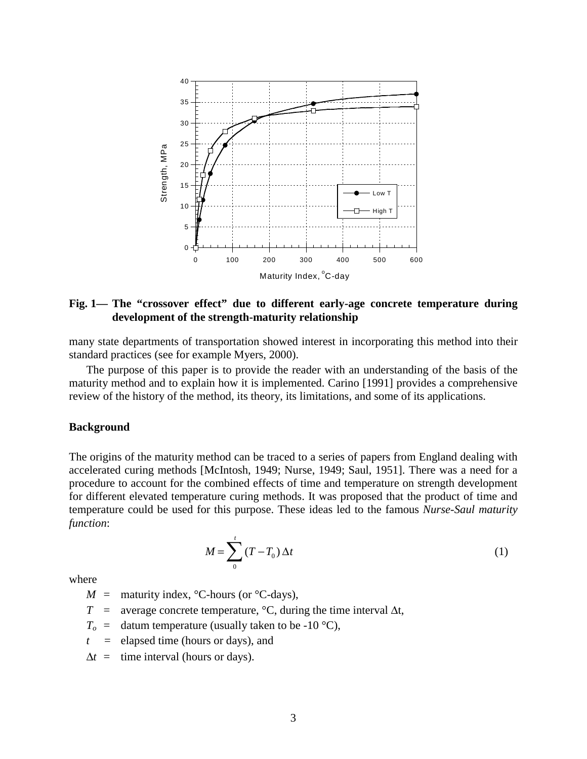

## **Fig. 1— The "crossover effect" due to different early-age concrete temperature during development of the strength-maturity relationship**

many state departments of transportation showed interest in incorporating this method into their standard practices (see for example Myers, 2000).

The purpose of this paper is to provide the reader with an understanding of the basis of the maturity method and to explain how it is implemented. Carino [1991] provides a comprehensive review of the history of the method, its theory, its limitations, and some of its applications.

## **Background**

The origins of the maturity method can be traced to a series of papers from England dealing with accelerated curing methods [McIntosh, 1949; Nurse, 1949; Saul, 1951]. There was a need for a procedure to account for the combined effects of time and temperature on strength development for different elevated temperature curing methods. It was proposed that the product of time and temperature could be used for this purpose. These ideas led to the famous *Nurse-Saul maturity function*:

$$
M = \sum_{0}^{t} (T - T_0) \Delta t \tag{1}
$$

where

 $M =$  maturity index,  $^{\circ}$ C-hours (or  $^{\circ}$ C-days),

- *T* = average concrete temperature,  $\degree$ C, during the time interval  $\Delta t$ ,
- $T_o$  = datum temperature (usually taken to be -10 °C),
- *t =* elapsed time (hours or days), and
- $\Delta t =$  time interval (hours or days).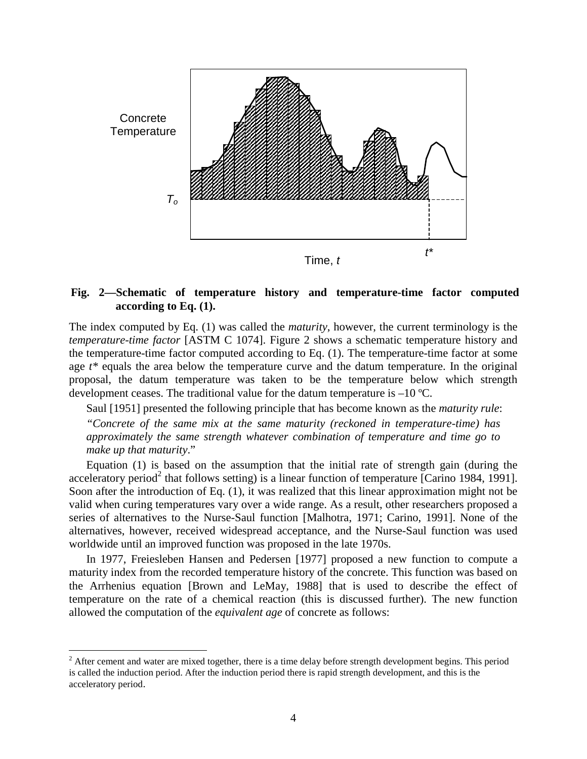

## **Fig. 2—Schematic of temperature history and temperature-time factor computed according to Eq. (1).**

The index computed by Eq. (1) was called the *maturity*, however, the current terminology is the *temperature-time factor* [ASTM C 1074]. Figure 2 shows a schematic temperature history and the temperature-time factor computed according to Eq. (1). The temperature-time factor at some age *t\** equals the area below the temperature curve and the datum temperature. In the original proposal, the datum temperature was taken to be the temperature below which strength development ceases. The traditional value for the datum temperature is  $-10^{\circ}$ C.

Saul [1951] presented the following principle that has become known as the *maturity rule*: *"Concrete of the same mix at the same maturity (reckoned in temperature-time) has approximately the same strength whatever combination of temperature and time go to make up that maturity*."

Equation  $(1)$  is based on the assumption that the initial rate of strength gain (during the acceleratory period<sup>2</sup> that follows setting) is a linear function of temperature [Carino 1984, 1991]. Soon after the introduction of Eq. (1), it was realized that this linear approximation might not be valid when curing temperatures vary over a wide range. As a result, other researchers proposed a series of alternatives to the Nurse-Saul function [Malhotra, 1971; Carino, 1991]. None of the alternatives, however, received widespread acceptance, and the Nurse-Saul function was used worldwide until an improved function was proposed in the late 1970s.

In 1977, Freiesleben Hansen and Pedersen [1977] proposed a new function to compute a maturity index from the recorded temperature history of the concrete. This function was based on the Arrhenius equation [Brown and LeMay, 1988] that is used to describe the effect of temperature on the rate of a chemical reaction (this is discussed further). The new function allowed the computation of the *equivalent age* of concrete as follows:

 $2$  After cement and water are mixed together, there is a time delay before strength development begins. This period is called the induction period. After the induction period there is rapid strength development, and this is the acceleratory period.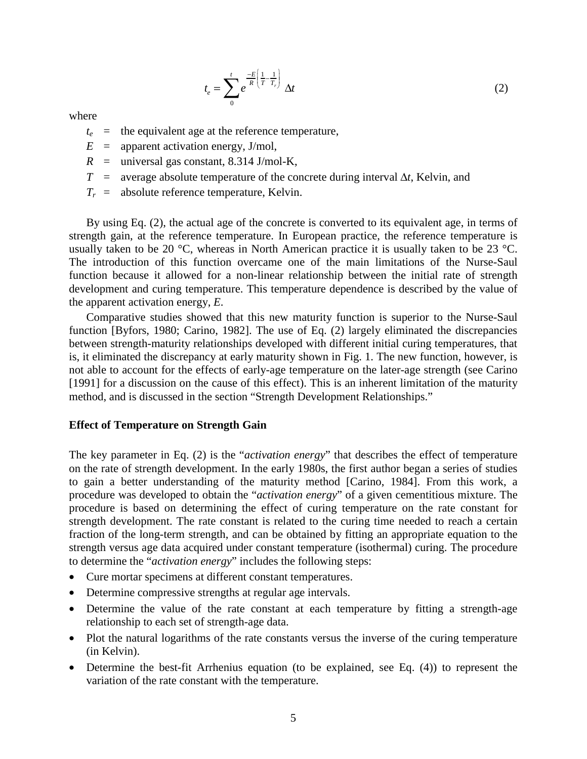$$
t_e = \sum_{0}^{t} e^{\frac{-E}{R} \left(\frac{1}{T} - \frac{1}{T_r}\right)} \Delta t
$$
 (2)

where

- $t_e$  = the equivalent age at the reference temperature,
- $E =$  apparent activation energy, J/mol,
- $R$  = universal gas constant, 8.314 J/mol-K,
- *T* = average absolute temperature of the concrete during interval ∆*t*, Kelvin, and
- $T_r$  = absolute reference temperature, Kelvin.

By using Eq. (2), the actual age of the concrete is converted to its equivalent age, in terms of strength gain, at the reference temperature. In European practice, the reference temperature is usually taken to be 20 °C, whereas in North American practice it is usually taken to be 23 °C. The introduction of this function overcame one of the main limitations of the Nurse-Saul function because it allowed for a non-linear relationship between the initial rate of strength development and curing temperature. This temperature dependence is described by the value of the apparent activation energy, *E*.

Comparative studies showed that this new maturity function is superior to the Nurse-Saul function [Byfors, 1980; Carino, 1982]. The use of Eq. (2) largely eliminated the discrepancies between strength-maturity relationships developed with different initial curing temperatures, that is, it eliminated the discrepancy at early maturity shown in Fig. 1. The new function, however, is not able to account for the effects of early-age temperature on the later-age strength (see Carino [1991] for a discussion on the cause of this effect). This is an inherent limitation of the maturity method, and is discussed in the section "Strength Development Relationships."

#### **Effect of Temperature on Strength Gain**

The key parameter in Eq. (2) is the "*activation energy*" that describes the effect of temperature on the rate of strength development. In the early 1980s, the first author began a series of studies to gain a better understanding of the maturity method [Carino, 1984]. From this work, a procedure was developed to obtain the "*activation energy*" of a given cementitious mixture. The procedure is based on determining the effect of curing temperature on the rate constant for strength development. The rate constant is related to the curing time needed to reach a certain fraction of the long-term strength, and can be obtained by fitting an appropriate equation to the strength versus age data acquired under constant temperature (isothermal) curing. The procedure to determine the "*activation energy*" includes the following steps:

- Cure mortar specimens at different constant temperatures.
- Determine compressive strengths at regular age intervals.
- Determine the value of the rate constant at each temperature by fitting a strength-age relationship to each set of strength-age data.
- Plot the natural logarithms of the rate constants versus the inverse of the curing temperature (in Kelvin).
- Determine the best-fit Arrhenius equation (to be explained, see Eq. (4)) to represent the variation of the rate constant with the temperature.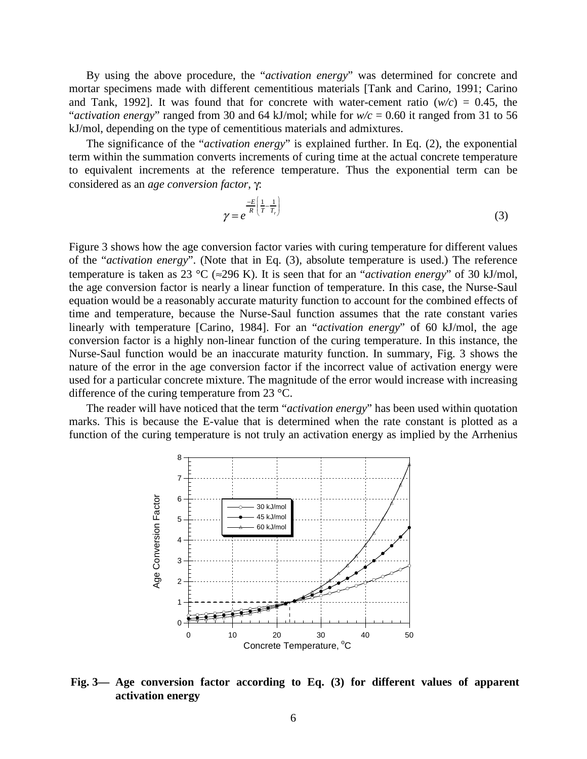By using the above procedure, the "*activation energy*" was determined for concrete and mortar specimens made with different cementitious materials [Tank and Carino, 1991; Carino and Tank, 1992]. It was found that for concrete with water-cement ratio  $(w/c) = 0.45$ , the "*activation energy*" ranged from 30 and 64 kJ/mol; while for  $w/c = 0.60$  it ranged from 31 to 56 kJ/mol, depending on the type of cementitious materials and admixtures.

The significance of the "*activation energy*" is explained further. In Eq. (2), the exponential term within the summation converts increments of curing time at the actual concrete temperature to equivalent increments at the reference temperature. Thus the exponential term can be considered as an *age conversion factor*, γ:

$$
\gamma = e^{\frac{-E}{R} \left( \frac{1}{T} - \frac{1}{T_r} \right)}
$$
\n(3)

Figure 3 shows how the age conversion factor varies with curing temperature for different values of the "*activation energy*". (Note that in Eq. (3), absolute temperature is used.) The reference temperature is taken as 23 °C ( $\approx$ 296 K). It is seen that for an "*activation energy*" of 30 kJ/mol, the age conversion factor is nearly a linear function of temperature. In this case, the Nurse-Saul equation would be a reasonably accurate maturity function to account for the combined effects of time and temperature, because the Nurse-Saul function assumes that the rate constant varies linearly with temperature [Carino, 1984]. For an "*activation energy*" of 60 kJ/mol, the age conversion factor is a highly non-linear function of the curing temperature. In this instance, the Nurse-Saul function would be an inaccurate maturity function. In summary, Fig. 3 shows the nature of the error in the age conversion factor if the incorrect value of activation energy were used for a particular concrete mixture. The magnitude of the error would increase with increasing difference of the curing temperature from 23 °C.

The reader will have noticed that the term "*activation energy*" has been used within quotation marks. This is because the E-value that is determined when the rate constant is plotted as a function of the curing temperature is not truly an activation energy as implied by the Arrhenius



**Fig. 3— Age conversion factor according to Eq. (3) for different values of apparent activation energy**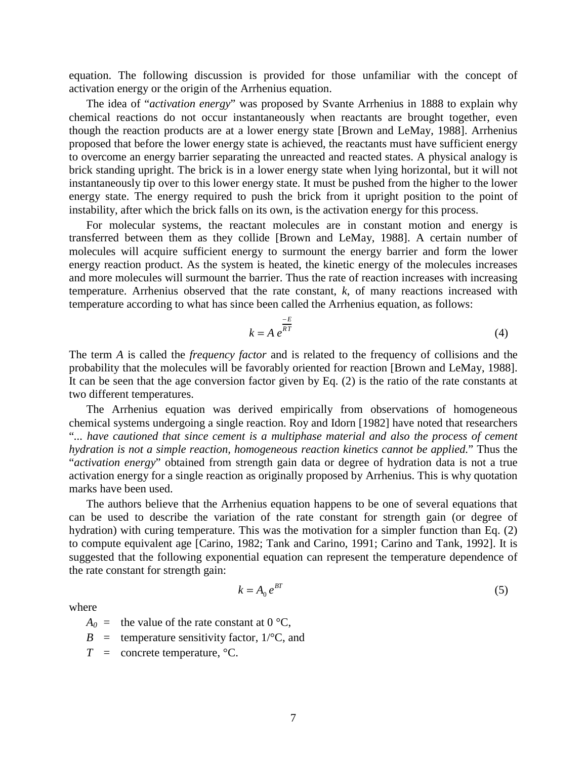equation. The following discussion is provided for those unfamiliar with the concept of activation energy or the origin of the Arrhenius equation.

The idea of "*activation energy*" was proposed by Svante Arrhenius in 1888 to explain why chemical reactions do not occur instantaneously when reactants are brought together, even though the reaction products are at a lower energy state [Brown and LeMay, 1988]. Arrhenius proposed that before the lower energy state is achieved, the reactants must have sufficient energy to overcome an energy barrier separating the unreacted and reacted states. A physical analogy is brick standing upright. The brick is in a lower energy state when lying horizontal, but it will not instantaneously tip over to this lower energy state. It must be pushed from the higher to the lower energy state. The energy required to push the brick from it upright position to the point of instability, after which the brick falls on its own, is the activation energy for this process.

For molecular systems, the reactant molecules are in constant motion and energy is transferred between them as they collide [Brown and LeMay, 1988]. A certain number of molecules will acquire sufficient energy to surmount the energy barrier and form the lower energy reaction product. As the system is heated, the kinetic energy of the molecules increases and more molecules will surmount the barrier. Thus the rate of reaction increases with increasing temperature. Arrhenius observed that the rate constant, *k*, of many reactions increased with temperature according to what has since been called the Arrhenius equation, as follows:

$$
k = A e^{\frac{-E}{RT}}
$$
 (4)

The term *A* is called the *frequency factor* and is related to the frequency of collisions and the probability that the molecules will be favorably oriented for reaction [Brown and LeMay, 1988]. It can be seen that the age conversion factor given by Eq. (2) is the ratio of the rate constants at two different temperatures.

The Arrhenius equation was derived empirically from observations of homogeneous chemical systems undergoing a single reaction. Roy and Idorn [1982] have noted that researchers "*... have cautioned that since cement is a multiphase material and also the process of cement hydration is not a simple reaction, homogeneous reaction kinetics cannot be applied.*" Thus the "*activation energy*" obtained from strength gain data or degree of hydration data is not a true activation energy for a single reaction as originally proposed by Arrhenius. This is why quotation marks have been used.

The authors believe that the Arrhenius equation happens to be one of several equations that can be used to describe the variation of the rate constant for strength gain (or degree of hydration) with curing temperature. This was the motivation for a simpler function than Eq. (2) to compute equivalent age [Carino, 1982; Tank and Carino, 1991; Carino and Tank, 1992]. It is suggested that the following exponential equation can represent the temperature dependence of the rate constant for strength gain:

$$
k = A_0 e^{BT} \tag{5}
$$

where

$$
A_0 =
$$
 the value of the rate constant at 0 °C,

- $B =$  temperature sensitivity factor,  $1$ <sup>o</sup>C, and
- $T =$  concrete temperature,  ${}^{\circ}C$ .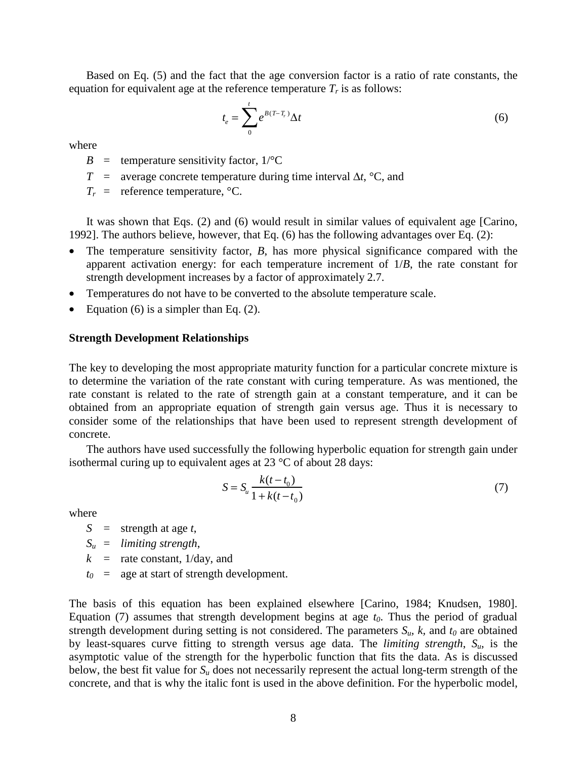Based on Eq. (5) and the fact that the age conversion factor is a ratio of rate constants, the equation for equivalent age at the reference temperature  $T_r$  is as follows:

$$
t_e = \sum_{0}^{t} e^{B(T-T_r)} \Delta t \tag{6}
$$

where

 $B =$  temperature sensitivity factor,  $1$ <sup>o</sup>C

- *T* = average concrete temperature during time interval ∆*t*, °C, and
- $T_r$  = reference temperature,  ${}^{\circ}C$ .

It was shown that Eqs. (2) and (6) would result in similar values of equivalent age [Carino, 1992]. The authors believe, however, that Eq. (6) has the following advantages over Eq. (2):

- The temperature sensitivity factor, *B*, has more physical significance compared with the apparent activation energy: for each temperature increment of 1/*B*, the rate constant for strength development increases by a factor of approximately 2.7.
- Temperatures do not have to be converted to the absolute temperature scale.
- Equation  $(6)$  is a simpler than Eq.  $(2)$ .

#### **Strength Development Relationships**

The key to developing the most appropriate maturity function for a particular concrete mixture is to determine the variation of the rate constant with curing temperature. As was mentioned, the rate constant is related to the rate of strength gain at a constant temperature, and it can be obtained from an appropriate equation of strength gain versus age. Thus it is necessary to consider some of the relationships that have been used to represent strength development of concrete.

The authors have used successfully the following hyperbolic equation for strength gain under isothermal curing up to equivalent ages at 23 °C of about 28 days:

$$
S = S_u \frac{k(t - t_0)}{1 + k(t - t_0)}
$$
\n(7)

where

*S* = strength at age *t*,

- *Su* = *limiting strength*,
- $k =$  rate constant, 1/day, and
- $t_0$  = age at start of strength development.

The basis of this equation has been explained elsewhere [Carino, 1984; Knudsen, 1980]. Equation  $(7)$  assumes that strength development begins at age  $t_0$ . Thus the period of gradual strength development during setting is not considered. The parameters  $S<sub>u</sub>$ ,  $k$ , and  $t<sub>0</sub>$  are obtained by least-squares curve fitting to strength versus age data. The *limiting strength*, *Su,* is the asymptotic value of the strength for the hyperbolic function that fits the data. As is discussed below, the best fit value for *Su* does not necessarily represent the actual long-term strength of the concrete, and that is why the italic font is used in the above definition. For the hyperbolic model,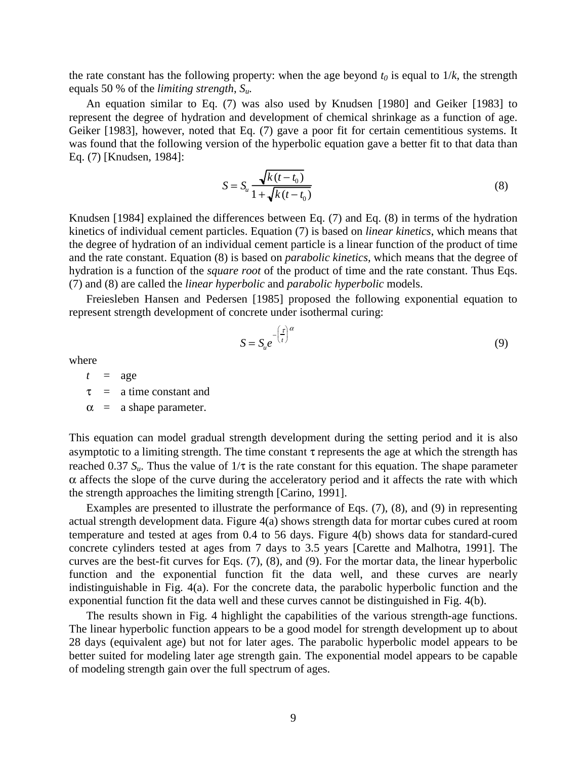the rate constant has the following property: when the age beyond  $t_0$  is equal to  $1/k$ , the strength equals 50 % of the *limiting strength*, *Su.*

An equation similar to Eq. (7) was also used by Knudsen [1980] and Geiker [1983] to represent the degree of hydration and development of chemical shrinkage as a function of age. Geiker [1983], however, noted that Eq. (7) gave a poor fit for certain cementitious systems. It was found that the following version of the hyperbolic equation gave a better fit to that data than Eq. (7) [Knudsen, 1984]:

$$
S = S_u \frac{\sqrt{k(t - t_0)}}{1 + \sqrt{k(t - t_0)}}
$$
(8)

Knudsen [1984] explained the differences between Eq. (7) and Eq. (8) in terms of the hydration kinetics of individual cement particles. Equation (7) is based on *linear kinetics*, which means that the degree of hydration of an individual cement particle is a linear function of the product of time and the rate constant. Equation (8) is based on *parabolic kinetics,* which means that the degree of hydration is a function of the *square root* of the product of time and the rate constant. Thus Eqs. (7) and (8) are called the *linear hyperbolic* and *parabolic hyperbolic* models.

Freiesleben Hansen and Pedersen [1985] proposed the following exponential equation to represent strength development of concrete under isothermal curing:

$$
S = S_u e^{-\left(\frac{\tau}{t}\right)^\alpha} \tag{9}
$$

where

 $t = \text{age}$ 

 $\tau$  = a time constant and

 $\alpha$  = a shape parameter.

This equation can model gradual strength development during the setting period and it is also asymptotic to a limiting strength. The time constant  $\tau$  represents the age at which the strength has reached 0.37  $S_u$ . Thus the value of  $1/\tau$  is the rate constant for this equation. The shape parameter  $\alpha$  affects the slope of the curve during the acceleratory period and it affects the rate with which the strength approaches the limiting strength [Carino, 1991].

Examples are presented to illustrate the performance of Eqs. (7), (8), and (9) in representing actual strength development data. Figure 4(a) shows strength data for mortar cubes cured at room temperature and tested at ages from 0.4 to 56 days. Figure 4(b) shows data for standard-cured concrete cylinders tested at ages from 7 days to 3.5 years [Carette and Malhotra, 1991]. The curves are the best-fit curves for Eqs. (7), (8), and (9). For the mortar data, the linear hyperbolic function and the exponential function fit the data well, and these curves are nearly indistinguishable in Fig. 4(a). For the concrete data, the parabolic hyperbolic function and the exponential function fit the data well and these curves cannot be distinguished in Fig. 4(b).

The results shown in Fig. 4 highlight the capabilities of the various strength-age functions. The linear hyperbolic function appears to be a good model for strength development up to about 28 days (equivalent age) but not for later ages. The parabolic hyperbolic model appears to be better suited for modeling later age strength gain. The exponential model appears to be capable of modeling strength gain over the full spectrum of ages.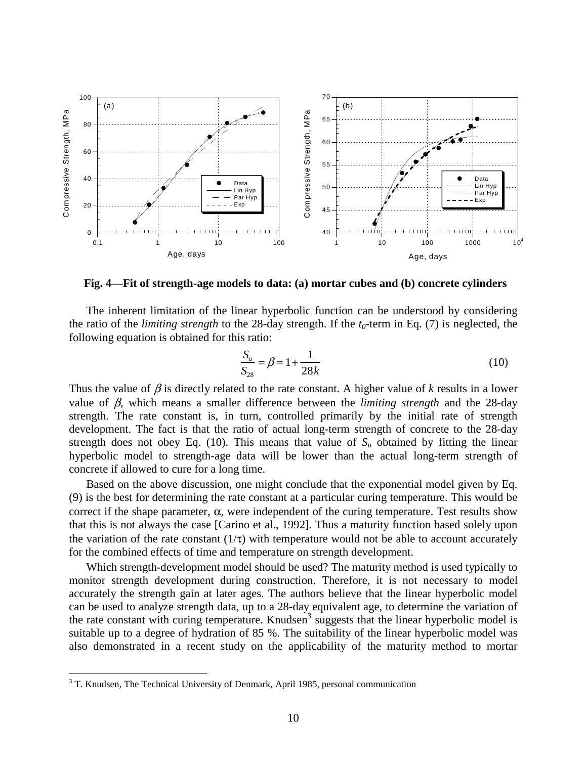

**Fig. 4—Fit of strength-age models to data: (a) mortar cubes and (b) concrete cylinders**

The inherent limitation of the linear hyperbolic function can be understood by considering the ratio of the *limiting strength* to the 28-day strength. If the  $t_0$ -term in Eq. (7) is neglected, the following equation is obtained for this ratio:

$$
\frac{S_u}{S_{28}} = \beta = 1 + \frac{1}{28k} \tag{10}
$$

Thus the value of  $\beta$  is directly related to the rate constant. A higher value of *k* results in a lower value of β, which means a smaller difference between the *limiting strength* and the 28-day strength. The rate constant is, in turn, controlled primarily by the initial rate of strength development. The fact is that the ratio of actual long-term strength of concrete to the 28-day strength does not obey Eq. (10). This means that value of  $S_u$  obtained by fitting the linear hyperbolic model to strength-age data will be lower than the actual long-term strength of concrete if allowed to cure for a long time.

Based on the above discussion, one might conclude that the exponential model given by Eq. (9) is the best for determining the rate constant at a particular curing temperature. This would be correct if the shape parameter,  $\alpha$ , were independent of the curing temperature. Test results show that this is not always the case [Carino et al., 1992]. Thus a maturity function based solely upon the variation of the rate constant  $(1/\tau)$  with temperature would not be able to account accurately for the combined effects of time and temperature on strength development.

Which strength-development model should be used? The maturity method is used typically to monitor strength development during construction. Therefore, it is not necessary to model accurately the strength gain at later ages. The authors believe that the linear hyperbolic model can be used to analyze strength data, up to a 28-day equivalent age, to determine the variation of the rate constant with curing temperature. Knudsen<sup>3</sup> suggests that the linear hyperbolic model is suitable up to a degree of hydration of 85 %. The suitability of the linear hyperbolic model was also demonstrated in a recent study on the applicability of the maturity method to mortar

<sup>3</sup> T. Knudsen, The Technical University of Denmark, April 1985, personal communication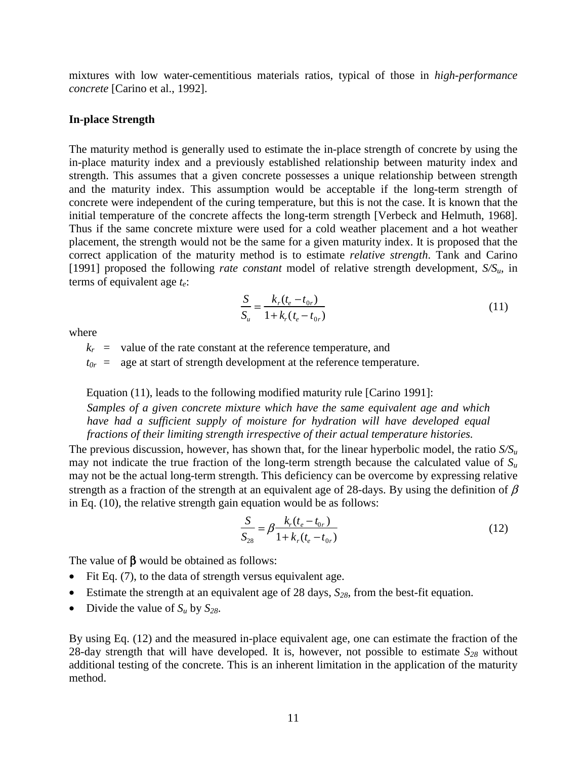mixtures with low water-cementitious materials ratios, typical of those in *high-performance concrete* [Carino et al., 1992].

#### **In-place Strength**

The maturity method is generally used to estimate the in-place strength of concrete by using the in-place maturity index and a previously established relationship between maturity index and strength. This assumes that a given concrete possesses a unique relationship between strength and the maturity index. This assumption would be acceptable if the long-term strength of concrete were independent of the curing temperature, but this is not the case. It is known that the initial temperature of the concrete affects the long-term strength [Verbeck and Helmuth, 1968]. Thus if the same concrete mixture were used for a cold weather placement and a hot weather placement, the strength would not be the same for a given maturity index. It is proposed that the correct application of the maturity method is to estimate *relative strength*. Tank and Carino [1991] proposed the following *rate constant* model of relative strength development, *S/Su*, in terms of equivalent age *te*:

$$
\frac{S}{S_u} = \frac{k_r(t_e - t_{0r})}{1 + k_r(t_e - t_{0r})}
$$
\n(11)

where

 $k_r$  = value of the rate constant at the reference temperature, and

 $t_{0r}$  = age at start of strength development at the reference temperature.

## Equation (11), leads to the following modified maturity rule [Carino 1991]: *Samples of a given concrete mixture which have the same equivalent age and which have had a sufficient supply of moisture for hydration will have developed equal fractions of their limiting strength irrespective of their actual temperature histories.*

The previous discussion, however, has shown that, for the linear hyperbolic model, the ratio  $S/S_u$ may not indicate the true fraction of the long-term strength because the calculated value of *Su* may not be the actual long-term strength. This deficiency can be overcome by expressing relative strength as a fraction of the strength at an equivalent age of 28-days. By using the definition of  $\beta$ in Eq. (10), the relative strength gain equation would be as follows:

$$
\frac{S}{S_{28}} = \beta \frac{k_r (t_e - t_{0r})}{1 + k_r (t_e - t_{0r})}
$$
(12)

The value of β would be obtained as follows:

- Fit Eq. (7), to the data of strength versus equivalent age.
- Estimate the strength at an equivalent age of 28 days,  $S_{28}$ , from the best-fit equation.
- Divide the value of  $S_u$  by  $S_{28}$ .

By using Eq. (12) and the measured in-place equivalent age, one can estimate the fraction of the 28-day strength that will have developed. It is, however, not possible to estimate  $S_{28}$  without additional testing of the concrete. This is an inherent limitation in the application of the maturity method.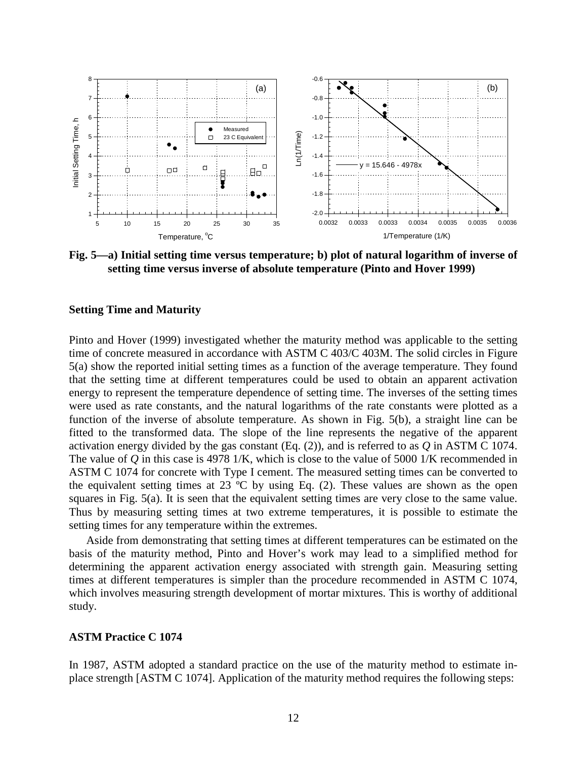

**Fig. 5—a) Initial setting time versus temperature; b) plot of natural logarithm of inverse of setting time versus inverse of absolute temperature (Pinto and Hover 1999)**

#### **Setting Time and Maturity**

Pinto and Hover (1999) investigated whether the maturity method was applicable to the setting time of concrete measured in accordance with ASTM C 403/C 403M. The solid circles in Figure 5(a) show the reported initial setting times as a function of the average temperature. They found that the setting time at different temperatures could be used to obtain an apparent activation energy to represent the temperature dependence of setting time. The inverses of the setting times were used as rate constants, and the natural logarithms of the rate constants were plotted as a function of the inverse of absolute temperature. As shown in Fig. 5(b), a straight line can be fitted to the transformed data. The slope of the line represents the negative of the apparent activation energy divided by the gas constant  $(Eq. (2))$ , and is referred to as  $Q$  in ASTM C 1074. The value of *Q* in this case is 4978 1/K, which is close to the value of 5000 1/K recommended in ASTM C 1074 for concrete with Type I cement. The measured setting times can be converted to the equivalent setting times at 23 ºC by using Eq. (2). These values are shown as the open squares in Fig. 5(a). It is seen that the equivalent setting times are very close to the same value. Thus by measuring setting times at two extreme temperatures, it is possible to estimate the setting times for any temperature within the extremes.

Aside from demonstrating that setting times at different temperatures can be estimated on the basis of the maturity method, Pinto and Hover's work may lead to a simplified method for determining the apparent activation energy associated with strength gain. Measuring setting times at different temperatures is simpler than the procedure recommended in ASTM C 1074, which involves measuring strength development of mortar mixtures. This is worthy of additional study.

#### **ASTM Practice C 1074**

In 1987, ASTM adopted a standard practice on the use of the maturity method to estimate inplace strength [ASTM C 1074]. Application of the maturity method requires the following steps: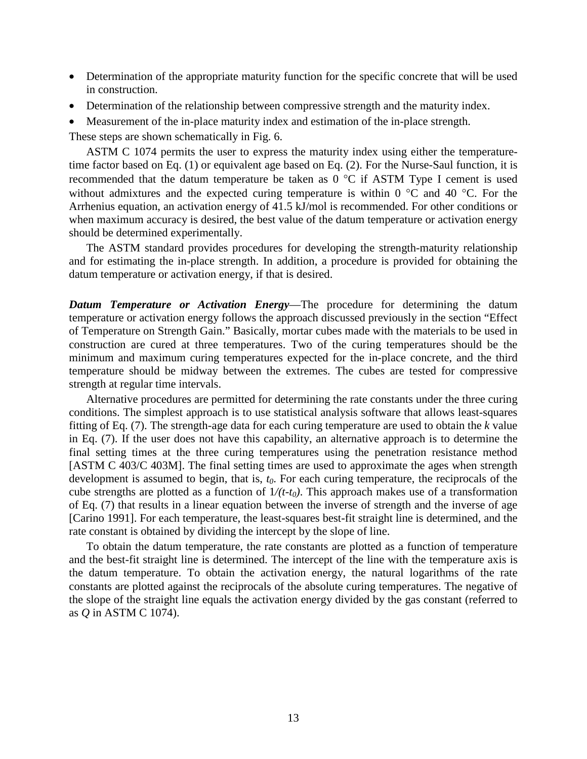- Determination of the appropriate maturity function for the specific concrete that will be used in construction.
- Determination of the relationship between compressive strength and the maturity index.
- Measurement of the in-place maturity index and estimation of the in-place strength.

These steps are shown schematically in Fig. 6.

ASTM C 1074 permits the user to express the maturity index using either the temperaturetime factor based on Eq. (1) or equivalent age based on Eq. (2). For the Nurse-Saul function, it is recommended that the datum temperature be taken as 0 °C if ASTM Type I cement is used without admixtures and the expected curing temperature is within 0 °C and 40 °C. For the Arrhenius equation, an activation energy of 41.5 kJ/mol is recommended. For other conditions or when maximum accuracy is desired, the best value of the datum temperature or activation energy should be determined experimentally.

The ASTM standard provides procedures for developing the strength-maturity relationship and for estimating the in-place strength. In addition, a procedure is provided for obtaining the datum temperature or activation energy, if that is desired.

*Datum Temperature or Activation Energy*—The procedure for determining the datum temperature or activation energy follows the approach discussed previously in the section "Effect of Temperature on Strength Gain." Basically, mortar cubes made with the materials to be used in construction are cured at three temperatures. Two of the curing temperatures should be the minimum and maximum curing temperatures expected for the in-place concrete, and the third temperature should be midway between the extremes. The cubes are tested for compressive strength at regular time intervals.

Alternative procedures are permitted for determining the rate constants under the three curing conditions. The simplest approach is to use statistical analysis software that allows least-squares fitting of Eq. (7). The strength-age data for each curing temperature are used to obtain the *k* value in Eq. (7). If the user does not have this capability, an alternative approach is to determine the final setting times at the three curing temperatures using the penetration resistance method [ASTM C 403/C 403M]. The final setting times are used to approximate the ages when strength development is assumed to begin, that is,  $t_0$ . For each curing temperature, the reciprocals of the cube strengths are plotted as a function of  $1/(t-t_0)$ . This approach makes use of a transformation of Eq. (7) that results in a linear equation between the inverse of strength and the inverse of age [Carino 1991]. For each temperature, the least-squares best-fit straight line is determined, and the rate constant is obtained by dividing the intercept by the slope of line.

To obtain the datum temperature, the rate constants are plotted as a function of temperature and the best-fit straight line is determined. The intercept of the line with the temperature axis is the datum temperature. To obtain the activation energy, the natural logarithms of the rate constants are plotted against the reciprocals of the absolute curing temperatures. The negative of the slope of the straight line equals the activation energy divided by the gas constant (referred to as *Q* in ASTM C 1074).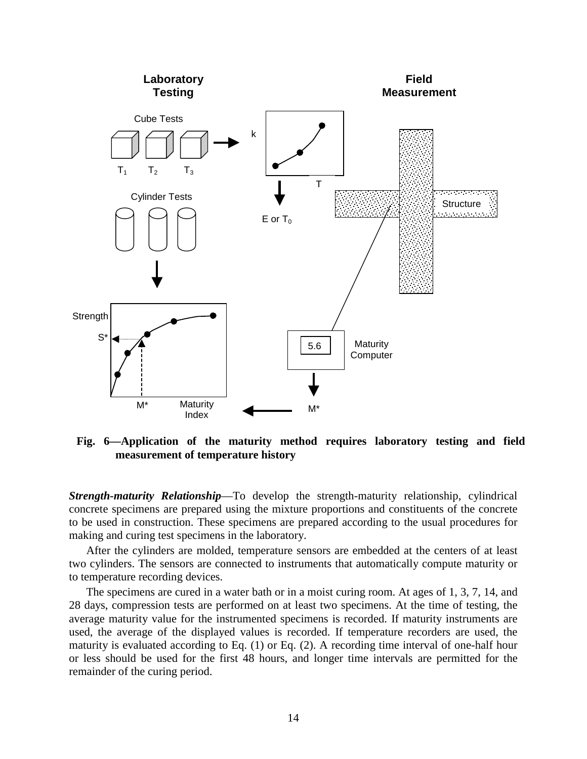

**Fig. 6—Application of the maturity method requires laboratory testing and field measurement of temperature history**

*Strength-maturity Relationship*—To develop the strength-maturity relationship, cylindrical concrete specimens are prepared using the mixture proportions and constituents of the concrete to be used in construction. These specimens are prepared according to the usual procedures for making and curing test specimens in the laboratory.

After the cylinders are molded, temperature sensors are embedded at the centers of at least two cylinders. The sensors are connected to instruments that automatically compute maturity or to temperature recording devices.

The specimens are cured in a water bath or in a moist curing room. At ages of 1, 3, 7, 14, and 28 days, compression tests are performed on at least two specimens. At the time of testing, the average maturity value for the instrumented specimens is recorded. If maturity instruments are used, the average of the displayed values is recorded. If temperature recorders are used, the maturity is evaluated according to Eq. (1) or Eq. (2). A recording time interval of one-half hour or less should be used for the first 48 hours, and longer time intervals are permitted for the remainder of the curing period.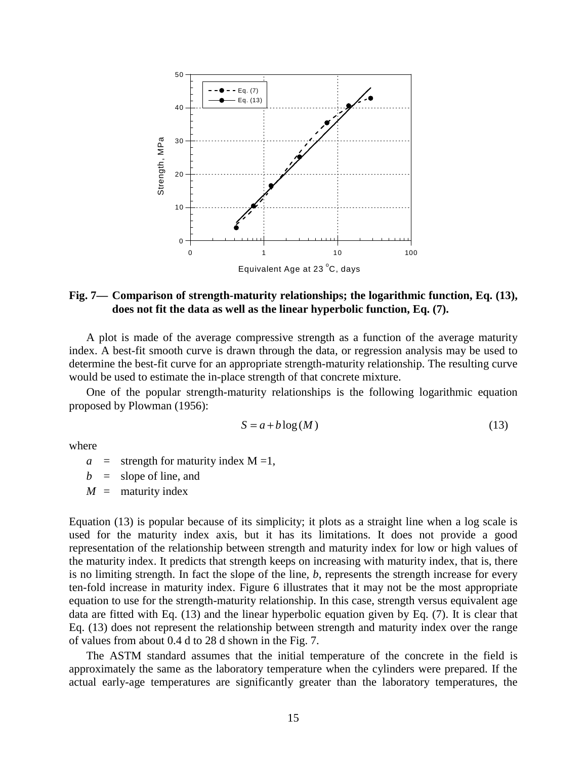

## **Fig. 7— Comparison of strength-maturity relationships; the logarithmic function, Eq. (13), does not fit the data as well as the linear hyperbolic function, Eq. (7).**

A plot is made of the average compressive strength as a function of the average maturity index. A best-fit smooth curve is drawn through the data, or regression analysis may be used to determine the best-fit curve for an appropriate strength-maturity relationship. The resulting curve would be used to estimate the in-place strength of that concrete mixture.

One of the popular strength-maturity relationships is the following logarithmic equation proposed by Plowman (1956):

$$
S = a + b \log(M) \tag{13}
$$

where

 $a =$  strength for maturity index  $M = 1$ ,

 $b =$  slope of line, and

 $M =$  maturity index

Equation (13) is popular because of its simplicity; it plots as a straight line when a log scale is used for the maturity index axis, but it has its limitations. It does not provide a good representation of the relationship between strength and maturity index for low or high values of the maturity index. It predicts that strength keeps on increasing with maturity index, that is, there is no limiting strength. In fact the slope of the line, *b*, represents the strength increase for every ten-fold increase in maturity index. Figure 6 illustrates that it may not be the most appropriate equation to use for the strength-maturity relationship. In this case, strength versus equivalent age data are fitted with Eq. (13) and the linear hyperbolic equation given by Eq. (7). It is clear that Eq. (13) does not represent the relationship between strength and maturity index over the range of values from about 0.4 d to 28 d shown in the Fig. 7.

The ASTM standard assumes that the initial temperature of the concrete in the field is approximately the same as the laboratory temperature when the cylinders were prepared. If the actual early-age temperatures are significantly greater than the laboratory temperatures, the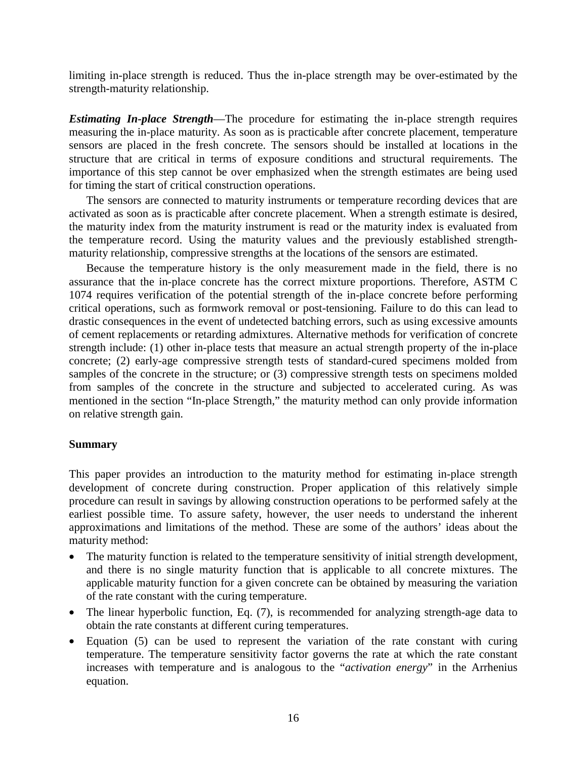limiting in-place strength is reduced. Thus the in-place strength may be over-estimated by the strength-maturity relationship.

*Estimating In-place Strength*—The procedure for estimating the in-place strength requires measuring the in-place maturity. As soon as is practicable after concrete placement, temperature sensors are placed in the fresh concrete. The sensors should be installed at locations in the structure that are critical in terms of exposure conditions and structural requirements. The importance of this step cannot be over emphasized when the strength estimates are being used for timing the start of critical construction operations.

The sensors are connected to maturity instruments or temperature recording devices that are activated as soon as is practicable after concrete placement. When a strength estimate is desired, the maturity index from the maturity instrument is read or the maturity index is evaluated from the temperature record. Using the maturity values and the previously established strengthmaturity relationship, compressive strengths at the locations of the sensors are estimated.

Because the temperature history is the only measurement made in the field, there is no assurance that the in-place concrete has the correct mixture proportions. Therefore, ASTM C 1074 requires verification of the potential strength of the in-place concrete before performing critical operations, such as formwork removal or post-tensioning. Failure to do this can lead to drastic consequences in the event of undetected batching errors, such as using excessive amounts of cement replacements or retarding admixtures. Alternative methods for verification of concrete strength include: (1) other in-place tests that measure an actual strength property of the in-place concrete; (2) early-age compressive strength tests of standard-cured specimens molded from samples of the concrete in the structure; or (3) compressive strength tests on specimens molded from samples of the concrete in the structure and subjected to accelerated curing. As was mentioned in the section "In-place Strength," the maturity method can only provide information on relative strength gain.

#### **Summary**

This paper provides an introduction to the maturity method for estimating in-place strength development of concrete during construction. Proper application of this relatively simple procedure can result in savings by allowing construction operations to be performed safely at the earliest possible time. To assure safety, however, the user needs to understand the inherent approximations and limitations of the method. These are some of the authors' ideas about the maturity method:

- The maturity function is related to the temperature sensitivity of initial strength development, and there is no single maturity function that is applicable to all concrete mixtures. The applicable maturity function for a given concrete can be obtained by measuring the variation of the rate constant with the curing temperature.
- The linear hyperbolic function, Eq. (7), is recommended for analyzing strength-age data to obtain the rate constants at different curing temperatures.
- Equation (5) can be used to represent the variation of the rate constant with curing temperature. The temperature sensitivity factor governs the rate at which the rate constant increases with temperature and is analogous to the "*activation energy*" in the Arrhenius equation.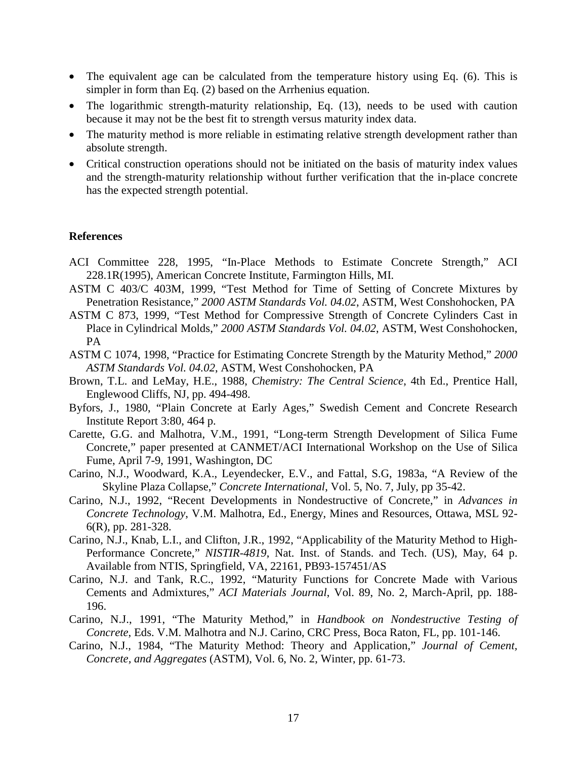- The equivalent age can be calculated from the temperature history using Eq. (6). This is simpler in form than Eq. (2) based on the Arrhenius equation.
- The logarithmic strength-maturity relationship, Eq. (13), needs to be used with caution because it may not be the best fit to strength versus maturity index data.
- The maturity method is more reliable in estimating relative strength development rather than absolute strength.
- Critical construction operations should not be initiated on the basis of maturity index values and the strength-maturity relationship without further verification that the in-place concrete has the expected strength potential.

## **References**

- ACI Committee 228, 1995, "In-Place Methods to Estimate Concrete Strength," ACI 228.1R(1995), American Concrete Institute, Farmington Hills, MI.
- ASTM C 403/C 403M, 1999, "Test Method for Time of Setting of Concrete Mixtures by Penetration Resistance," *2000 ASTM Standards Vol. 04.02*, ASTM, West Conshohocken, PA
- ASTM C 873, 1999, "Test Method for Compressive Strength of Concrete Cylinders Cast in Place in Cylindrical Molds," *2000 ASTM Standards Vol. 04.02*, ASTM, West Conshohocken, PA
- ASTM C 1074, 1998, "Practice for Estimating Concrete Strength by the Maturity Method," *2000 ASTM Standards Vol. 04.02*, ASTM, West Conshohocken, PA
- Brown, T.L. and LeMay, H.E., 1988, *Chemistry: The Central Science*, 4th Ed., Prentice Hall, Englewood Cliffs, NJ, pp. 494-498.
- Byfors, J., 1980, "Plain Concrete at Early Ages," Swedish Cement and Concrete Research Institute Report 3:80, 464 p.
- Carette, G.G. and Malhotra, V.M., 1991, "Long-term Strength Development of Silica Fume Concrete," paper presented at CANMET/ACI International Workshop on the Use of Silica Fume, April 7-9, 1991, Washington, DC
- Carino, N.J., Woodward, K.A., Leyendecker, E.V., and Fattal, S.G, 1983a, "A Review of the Skyline Plaza Collapse," *Concrete International*, Vol. 5, No. 7, July, pp 35-42.
- Carino, N.J., 1992, "Recent Developments in Nondestructive of Concrete," in *Advances in Concrete Technology*, V.M. Malhotra, Ed., Energy, Mines and Resources, Ottawa, MSL 92- 6(R), pp. 281-328.
- Carino, N.J., Knab, L.I., and Clifton, J.R., 1992, "Applicability of the Maturity Method to High-Performance Concrete," *NISTIR-4819*, Nat. Inst. of Stands. and Tech. (US), May, 64 p. Available from NTIS, Springfield, VA, 22161, PB93-157451/AS
- Carino, N.J. and Tank, R.C., 1992, "Maturity Functions for Concrete Made with Various Cements and Admixtures," *ACI Materials Journal*, Vol. 89, No. 2, March-April, pp. 188- 196.
- Carino, N.J., 1991, "The Maturity Method," in *Handbook on Nondestructive Testing of Concrete*, Eds. V.M. Malhotra and N.J. Carino, CRC Press, Boca Raton, FL, pp. 101-146.
- Carino, N.J., 1984, "The Maturity Method: Theory and Application," *Journal of Cement, Concrete, and Aggregates* (ASTM), Vol. 6, No. 2, Winter, pp. 61-73.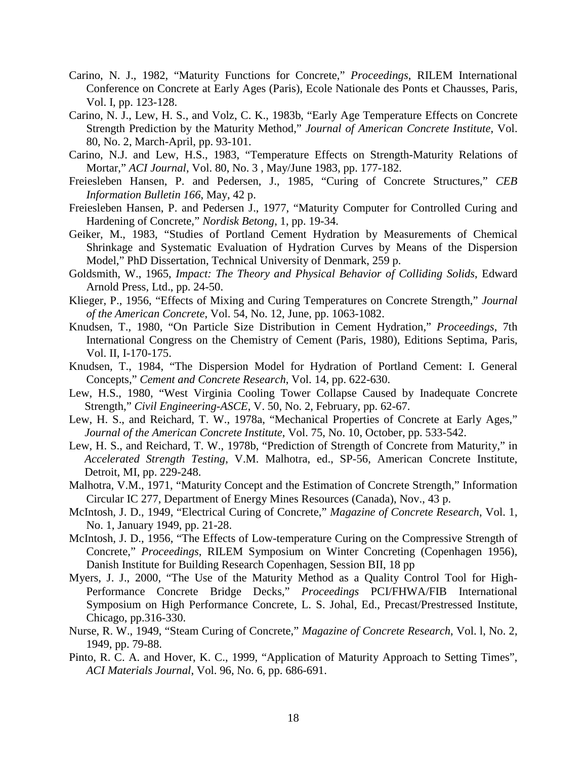- Carino, N. J., 1982, "Maturity Functions for Concrete," *Proceedings*, RILEM International Conference on Concrete at Early Ages (Paris), Ecole Nationale des Ponts et Chausses, Paris, Vol. I, pp. 123-128.
- Carino, N. J., Lew, H. S., and Volz, C. K., 1983b, "Early Age Temperature Effects on Concrete Strength Prediction by the Maturity Method," *Journal of American Concrete Institute*, Vol. 80, No. 2, March-April, pp. 93-101.
- Carino, N.J. and Lew, H.S., 1983, "Temperature Effects on Strength-Maturity Relations of Mortar," *ACI Journal*, Vol. 80, No. 3 , May/June 1983, pp. 177-182.
- Freiesleben Hansen, P. and Pedersen, J., 1985, "Curing of Concrete Structures," *CEB Information Bulletin 166*, May, 42 p.
- Freiesleben Hansen, P. and Pedersen J., 1977, "Maturity Computer for Controlled Curing and Hardening of Concrete," *Nordisk Betong*, 1, pp. 19-34.
- Geiker, M., 1983, "Studies of Portland Cement Hydration by Measurements of Chemical Shrinkage and Systematic Evaluation of Hydration Curves by Means of the Dispersion Model," PhD Dissertation, Technical University of Denmark, 259 p.
- Goldsmith, W., 1965, *Impact: The Theory and Physical Behavior of Colliding Solids*, Edward Arnold Press, Ltd., pp. 24-50.
- Klieger, P., 1956, "Effects of Mixing and Curing Temperatures on Concrete Strength," *Journal of the American Concrete*, Vol. 54, No. 12, June, pp. 1063-1082.
- Knudsen, T., 1980, "On Particle Size Distribution in Cement Hydration," *Proceedings*, 7th International Congress on the Chemistry of Cement (Paris, 1980), Editions Septima, Paris, Vol. II, I-170-175.
- Knudsen, T., 1984, "The Dispersion Model for Hydration of Portland Cement: I. General Concepts," *Cement and Concrete Research*, Vol. 14, pp. 622-630.
- Lew, H.S., 1980, "West Virginia Cooling Tower Collapse Caused by Inadequate Concrete Strength," *Civil Engineering-ASCE*, V. 50, No. 2, February, pp. 62-67.
- Lew, H. S., and Reichard, T. W., 1978a, "Mechanical Properties of Concrete at Early Ages," *Journal of the American Concrete Institute*, Vol. 75, No. 10, October, pp. 533-542.
- Lew, H. S., and Reichard, T. W., 1978b, "Prediction of Strength of Concrete from Maturity," in *Accelerated Strength Testing*, V.M. Malhotra, ed., SP-56, American Concrete Institute, Detroit, MI, pp. 229-248.
- Malhotra, V.M., 1971, "Maturity Concept and the Estimation of Concrete Strength," Information Circular IC 277, Department of Energy Mines Resources (Canada), Nov., 43 p.
- McIntosh, J. D., 1949, "Electrical Curing of Concrete," *Magazine of Concrete Research*, Vol. 1, No. 1, January 1949, pp. 21-28.
- McIntosh, J. D., 1956, "The Effects of Low-temperature Curing on the Compressive Strength of Concrete," *Proceedings*, RILEM Symposium on Winter Concreting (Copenhagen 1956), Danish Institute for Building Research Copenhagen, Session BII, 18 pp
- Myers, J. J., 2000, "The Use of the Maturity Method as a Quality Control Tool for High-Performance Concrete Bridge Decks," *Proceedings* PCI/FHWA/FIB International Symposium on High Performance Concrete, L. S. Johal, Ed., Precast/Prestressed Institute, Chicago, pp.316-330.
- Nurse, R. W., 1949, "Steam Curing of Concrete," *Magazine of Concrete Research*, Vol. l, No. 2, 1949, pp. 79-88.
- Pinto, R. C. A. and Hover, K. C., 1999, "Application of Maturity Approach to Setting Times", *ACI Materials Journal*, Vol. 96, No. 6, pp. 686-691.